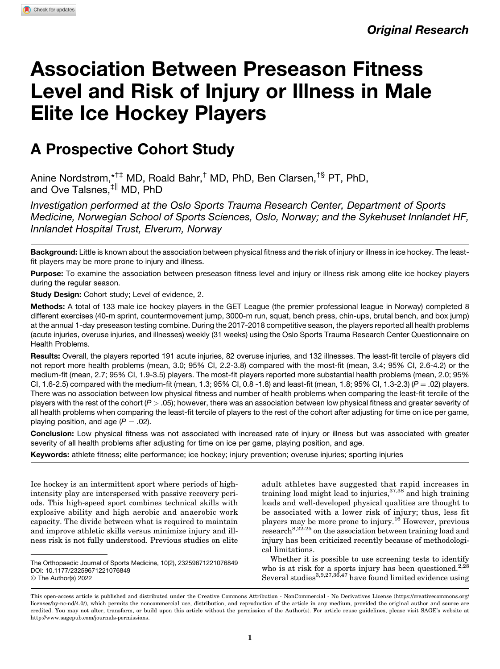# Association Between Preseason Fitness Level and Risk of Injury or Illness in Male Elite Ice Hockey Players

# A Prospective Cohort Study

Anine Nordstrøm,\*†‡ MD, Roald Bahr,† MD, PhD, Ben Clarsen,†§ PT, PhD, and Ove Talsnes.<sup>‡||</sup> MD, PhD

Investigation performed at the Oslo Sports Trauma Research Center, Department of Sports Medicine, Norwegian School of Sports Sciences, Oslo, Norway; and the Sykehuset Innlandet HF, Innlandet Hospital Trust, Elverum, Norway

Background: Little is known about the association between physical fitness and the risk of injury or illness in ice hockey. The leastfit players may be more prone to injury and illness.

Purpose: To examine the association between preseason fitness level and injury or illness risk among elite ice hockey players during the regular season.

Study Design: Cohort study; Level of evidence, 2.

Methods: A total of 133 male ice hockey players in the GET League (the premier professional league in Norway) completed 8 different exercises (40-m sprint, countermovement jump, 3000-m run, squat, bench press, chin-ups, brutal bench, and box jump) at the annual 1-day preseason testing combine. During the 2017-2018 competitive season, the players reported all health problems (acute injuries, overuse injuries, and illnesses) weekly (31 weeks) using the Oslo Sports Trauma Research Center Questionnaire on Health Problems.

Results: Overall, the players reported 191 acute injuries, 82 overuse injuries, and 132 illnesses. The least-fit tercile of players did not report more health problems (mean, 3.0; 95% CI, 2.2-3.8) compared with the most-fit (mean, 3.4; 95% CI, 2.6-4.2) or the medium-fit (mean, 2.7; 95% CI, 1.9-3.5) players. The most-fit players reported more substantial health problems (mean, 2.0; 95% CI, 1.6-2.5) compared with the medium-fit (mean, 1.3; 95% CI, 0.8 -1.8) and least-fit (mean, 1.8; 95% CI, 1.3-2.3) ( $P = .02$ ) players. There was no association between low physical fitness and number of health problems when comparing the least-fit tercile of the players with the rest of the cohort  $(P > .05)$ ; however, there was an association between low physical fitness and greater severity of all health problems when comparing the least-fit tercile of players to the rest of the cohort after adjusting for time on ice per game, playing position, and age  $(P = .02)$ .

Conclusion: Low physical fitness was not associated with increased rate of injury or illness but was associated with greater severity of all health problems after adjusting for time on ice per game, playing position, and age.

Keywords: athlete fitness; elite performance; ice hockey; injury prevention; overuse injuries; sporting injuries

Ice hockey is an intermittent sport where periods of highintensity play are interspersed with passive recovery periods. This high-speed sport combines technical skills with explosive ability and high aerobic and anaerobic work capacity. The divide between what is required to maintain and improve athletic skills versus minimize injury and illness risk is not fully understood. Previous studies on elite

adult athletes have suggested that rapid increases in training load might lead to injuries,  $37,38$  and high training loads and well-developed physical qualities are thought to be associated with a lower risk of injury; thus, less fit players may be more prone to injury.<sup>16</sup> However, previous research<sup>8,22-25</sup> on the association between training load and injury has been criticized recently because of methodological limitations.

Whether it is possible to use screening tests to identify who is at risk for a sports injury has been questioned.<sup>2,28</sup> Several studies $^{3,9,27,36,47}$  have found limited evidence using

The Orthopaedic Journal of Sports Medicine, 10(2), 23259671221076849 [DOI: 10.1177/23259671221076849](https://doi.org/10.1177/23259671221076849) © The Author(s) 2022

This open-access article is published and distributed under the Creative Commons Attribution - NonCommercial - No Derivatives License [\(https://creativecommons.org/](https://creativecommons.org/licenses/by-nc-nd/4.0/) [licenses/by-nc-nd/4.0/\)](https://creativecommons.org/licenses/by-nc-nd/4.0/), which permits the noncommercial use, distribution, and reproduction of the article in any medium, provided the original author and source are credited. You may not alter, transform, or build upon this article without the permission of the Author(s). For article reuse guidelines, please visit SAGE's website at http://www.sagepub.com/journals-permissions.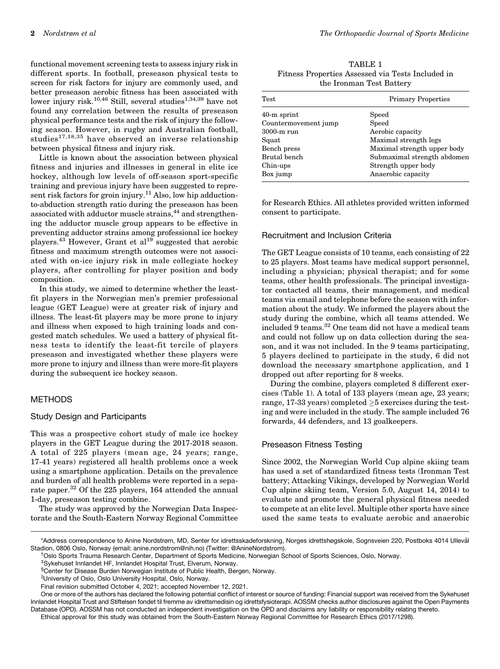functional movement screening tests to assess injury risk in different sports. In football, preseason physical tests to screen for risk factors for injury are commonly used, and better preseason aerobic fitness has been associated with lower injury risk.<sup>10,46</sup> Still, several studies<sup>1,34,39</sup> have not found any correlation between the results of preseason physical performance tests and the risk of injury the following season. However, in rugby and Australian football, studies17,18,35 have observed an inverse relationship between physical fitness and injury risk.

Little is known about the association between physical fitness and injuries and illnesses in general in elite ice hockey, although low levels of off-season sport-specific training and previous injury have been suggested to represent risk factors for groin injury.<sup>11</sup> Also, low hip adductionto-abduction strength ratio during the preseason has been associated with adductor muscle strains,<sup>44</sup> and strengthening the adductor muscle group appears to be effective in preventing adductor strains among professional ice hockey players.<sup>43</sup> However, Grant et al<sup>19</sup> suggested that aerobic fitness and maximum strength outcomes were not associated with on-ice injury risk in male collegiate hockey players, after controlling for player position and body composition.

In this study, we aimed to determine whether the leastfit players in the Norwegian men's premier professional league (GET League) were at greater risk of injury and illness. The least-fit players may be more prone to injury and illness when exposed to high training loads and congested match schedules. We used a battery of physical fitness tests to identify the least-fit tercile of players preseason and investigated whether these players were more prone to injury and illness than were more-fit players during the subsequent ice hockey season.

## METHODS

#### Study Design and Participants

This was a prospective cohort study of male ice hockey players in the GET League during the 2017-2018 season. A total of 225 players (mean age, 24 years; range, 17-41 years) registered all health problems once a week using a smartphone application. Details on the prevalence and burden of all health problems were reported in a separate paper.<sup>32</sup> Of the 225 players, 164 attended the annual 1-day, preseason testing combine.

The study was approved by the Norwegian Data Inspectorate and the South-Eastern Norway Regional Committee

TABLE 1 Fitness Properties Assessed via Tests Included in the Ironman Test Battery

| Test                 | <b>Primary Properties</b>   |
|----------------------|-----------------------------|
| $40-m$ sprint        | Speed                       |
| Countermovement jump | Speed                       |
| $3000-m$ run         | Aerobic capacity            |
| Squat                | Maximal strength legs       |
| Bench press          | Maximal strength upper body |
| Brutal bench         | Submaximal strength abdomen |
| Chin-ups             | Strength upper body         |
| Box jump             | Anaerobic capacity          |

for Research Ethics. All athletes provided written informed consent to participate.

#### Recruitment and Inclusion Criteria

The GET League consists of 10 teams, each consisting of 22 to 25 players. Most teams have medical support personnel, including a physician; physical therapist; and for some teams, other health professionals. The principal investigator contacted all teams, their management, and medical teams via email and telephone before the season with information about the study. We informed the players about the study during the combine, which all teams attended. We included 9 teams.32 One team did not have a medical team and could not follow up on data collection during the season, and it was not included. In the 9 teams participating, 5 players declined to participate in the study, 6 did not download the necessary smartphone application, and 1 dropped out after reporting for 8 weeks.

During the combine, players completed 8 different exercises (Table 1). A total of 133 players (mean age, 23 years; range, 17-33 years) completed  $\geq$ 5 exercises during the testing and were included in the study. The sample included 76 forwards, 44 defenders, and 13 goalkeepers.

#### Preseason Fitness Testing

Since 2002, the Norwegian World Cup alpine skiing team has used a set of standardized fitness tests (Ironman Test battery; Attacking Vikings, developed by Norwegian World Cup alpine skiing team, Version 5.0, August 14, 2014) to evaluate and promote the general physical fitness needed to compete at an elite level. Multiple other sports have since used the same tests to evaluate aerobic and anaerobic

||University of Oslo, Oslo University Hospital, Oslo, Norway.

Final revision submitted October 4, 2021; accepted November 12, 2021.

One or more of the authors has declared the following potential conflict of interest or source of funding: Financial support was received from the Sykehuset Innlandet Hospital Trust and Stiftelsen fondet til fremme av idrettsmedisin og idrettsfysioterapi. AOSSM checks author disclosures against the Open Payments Database (OPD). AOSSM has not conducted an independent investigation on the OPD and disclaims any liability or responsibility relating thereto.

Ethical approval for this study was obtained from the South-Eastern Norway Regional Committee for Research Ethics (2017/1298).

<sup>\*</sup>Address correspondence to Anine Nordstrøm, MD, Senter for idrettsskadeforskning, Norges idrettshøgskole, Sognsveien 220, Postboks 4014 Ullevål Stadion, 0806 Oslo, Norway (email: [anine.nordstrom@nih.no](mailto:anine.nordstrom@nih.no)) (Twitter: [@AnineNordstrom](https://twitter.com/aninenordstrom)). †

<sup>&</sup>lt;sup>†</sup>Oslo Sports Trauma Research Center, Department of Sports Medicine, Norwegian School of Sports Sciences, Oslo, Norway.

<sup>‡</sup> Sykehuset Innlandet HF, Innlandet Hospital Trust, Elverum, Norway.

<sup>§</sup> Center for Disease Burden Norwegian Institute of Public Health, Bergen, Norway.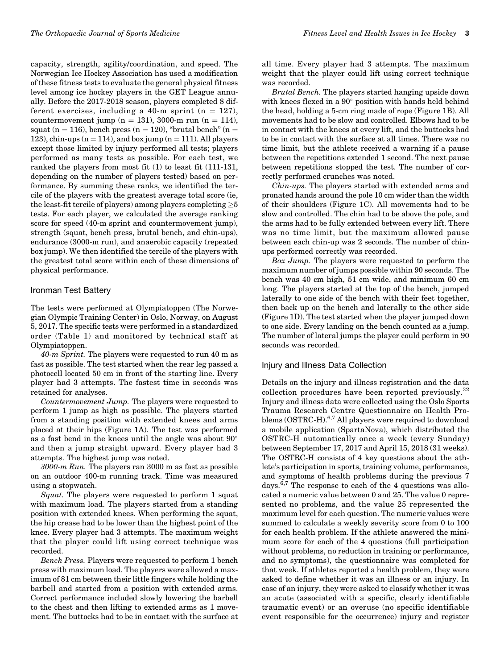capacity, strength, agility/coordination, and speed. The Norwegian Ice Hockey Association has used a modification of these fitness tests to evaluate the general physical fitness level among ice hockey players in the GET League annually. Before the 2017-2018 season, players completed 8 different exercises, including a 40-m sprint ( $n = 127$ ), countermovement jump (n = 131), 3000-m run (n = 114), squat (n = 116), bench press (n = 120), "brutal bench" (n = 123), chin-ups ( $n = 114$ ), and box jump ( $n = 111$ ). All players except those limited by injury performed all tests; players performed as many tests as possible. For each test, we ranked the players from most fit (1) to least fit (111-131, depending on the number of players tested) based on performance. By summing these ranks, we identified the tercile of the players with the greatest average total score (ie, the least-fit tercile of players) among players completing  $\geq\! 5$ tests. For each player, we calculated the average ranking score for speed (40-m sprint and countermovement jump), strength (squat, bench press, brutal bench, and chin-ups), endurance (3000-m run), and anaerobic capacity (repeated box jump). We then identified the tercile of the players with the greatest total score within each of these dimensions of physical performance.

#### Ironman Test Battery

The tests were performed at Olympiatoppen (The Norwegian Olympic Training Center) in Oslo, Norway, on August 5, 2017. The specific tests were performed in a standardized order (Table 1) and monitored by technical staff at Olympiatoppen.

 $40-m$  Sprint. The players were requested to run  $40$  m as fast as possible. The test started when the rear leg passed a photocell located 50 cm in front of the starting line. Every player had 3 attempts. The fastest time in seconds was retained for analyses.

Countermovement Jump. The players were requested to perform 1 jump as high as possible. The players started from a standing position with extended knees and arms placed at their hips (Figure 1A). The test was performed as a fast bend in the knees until the angle was about 90 and then a jump straight upward. Every player had 3 attempts. The highest jump was noted.

3000-m Run. The players ran 3000 m as fast as possible on an outdoor 400-m running track. Time was measured using a stopwatch.

Squat. The players were requested to perform 1 squat with maximum load. The players started from a standing position with extended knees. When performing the squat, the hip crease had to be lower than the highest point of the knee. Every player had 3 attempts. The maximum weight that the player could lift using correct technique was recorded.

Bench Press. Players were requested to perform 1 bench press with maximum load. The players were allowed a maximum of 81 cm between their little fingers while holding the barbell and started from a position with extended arms. Correct performance included slowly lowering the barbell to the chest and then lifting to extended arms as 1 movement. The buttocks had to be in contact with the surface at all time. Every player had 3 attempts. The maximum weight that the player could lift using correct technique was recorded.

Brutal Bench. The players started hanging upside down with knees flexed in a  $90^\circ$  position with hands held behind the head, holding a 5-cm ring made of rope (Figure 1B). All movements had to be slow and controlled. Elbows had to be in contact with the knees at every lift, and the buttocks had to be in contact with the surface at all times. There was no time limit, but the athlete received a warning if a pause between the repetitions extended 1 second. The next pause between repetitions stopped the test. The number of correctly performed crunches was noted.

Chin-ups. The players started with extended arms and pronated hands around the pole 10 cm wider than the width of their shoulders (Figure 1C). All movements had to be slow and controlled. The chin had to be above the pole, and the arms had to be fully extended between every lift. There was no time limit, but the maximum allowed pause between each chin-up was 2 seconds. The number of chinups performed correctly was recorded.

Box Jump. The players were requested to perform the maximum number of jumps possible within 90 seconds. The bench was 40 cm high, 51 cm wide, and minimum 60 cm long. The players started at the top of the bench, jumped laterally to one side of the bench with their feet together, then back up on the bench and laterally to the other side (Figure 1D). The test started when the player jumped down to one side. Every landing on the bench counted as a jump. The number of lateral jumps the player could perform in 90 seconds was recorded.

#### Injury and Illness Data Collection

Details on the injury and illness registration and the data collection procedures have been reported previously.<sup>32</sup> Injury and illness data were collected using the Oslo Sports Trauma Research Centre Questionnaire on Health Problems (OSTRC-H).<sup>6,7</sup> All players were required to download a mobile application (SpartaNova), which distributed the OSTRC-H automatically once a week (every Sunday) between September 17, 2017 and April 15, 2018 (31 weeks). The OSTRC-H consists of 4 key questions about the athlete's participation in sports, training volume, performance, and symptoms of health problems during the previous 7 days.<sup> $6,7$ </sup> The response to each of the 4 questions was allocated a numeric value between 0 and 25. The value 0 represented no problems, and the value 25 represented the maximum level for each question. The numeric values were summed to calculate a weekly severity score from 0 to 100 for each health problem. If the athlete answered the minimum score for each of the 4 questions (full participation without problems, no reduction in training or performance, and no symptoms), the questionnaire was completed for that week. If athletes reported a health problem, they were asked to define whether it was an illness or an injury. In case of an injury, they were asked to classify whether it was an acute (associated with a specific, clearly identifiable traumatic event) or an overuse (no specific identifiable event responsible for the occurrence) injury and register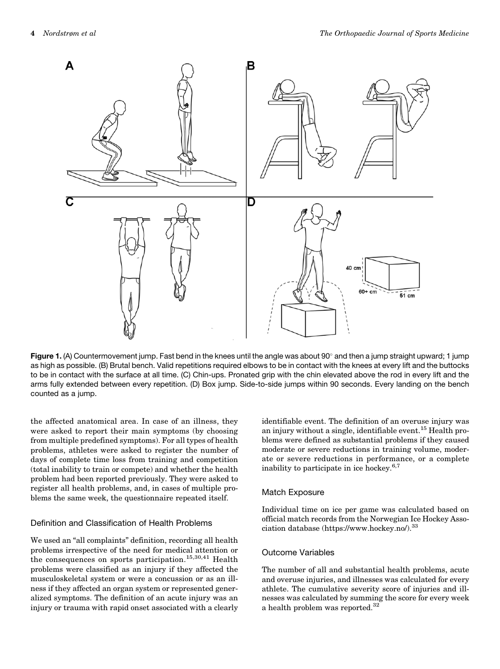

Figure 1. (A) Countermovement jump. Fast bend in the knees until the angle was about 90° and then a jump straight upward; 1 jump as high as possible. (B) Brutal bench. Valid repetitions required elbows to be in contact with the knees at every lift and the buttocks to be in contact with the surface at all time. (C) Chin-ups. Pronated grip with the chin elevated above the rod in every lift and the arms fully extended between every repetition. (D) Box jump. Side-to-side jumps within 90 seconds. Every landing on the bench counted as a jump.

the affected anatomical area. In case of an illness, they were asked to report their main symptoms (by choosing from multiple predefined symptoms). For all types of health problems, athletes were asked to register the number of days of complete time loss from training and competition (total inability to train or compete) and whether the health problem had been reported previously. They were asked to register all health problems, and, in cases of multiple problems the same week, the questionnaire repeated itself.

# Definition and Classification of Health Problems

We used an "all complaints" definition, recording all health problems irrespective of the need for medical attention or the consequences on sports participation.<sup>15,30,41</sup> Health problems were classified as an injury if they affected the musculoskeletal system or were a concussion or as an illness if they affected an organ system or represented generalized symptoms. The definition of an acute injury was an injury or trauma with rapid onset associated with a clearly identifiable event. The definition of an overuse injury was an injury without a single, identifiable event.<sup>15</sup> Health problems were defined as substantial problems if they caused moderate or severe reductions in training volume, moderate or severe reductions in performance, or a complete inability to participate in ice hockey.<sup>6,7</sup>

#### Match Exposure

Individual time on ice per game was calculated based on official match records from the Norwegian Ice Hockey Association database [\(https://www.hockey.no/]((https://www.hockey.no/)).<sup>33</sup>

# Outcome Variables

The number of all and substantial health problems, acute and overuse injuries, and illnesses was calculated for every athlete. The cumulative severity score of injuries and illnesses was calculated by summing the score for every week a health problem was reported.<sup>32</sup>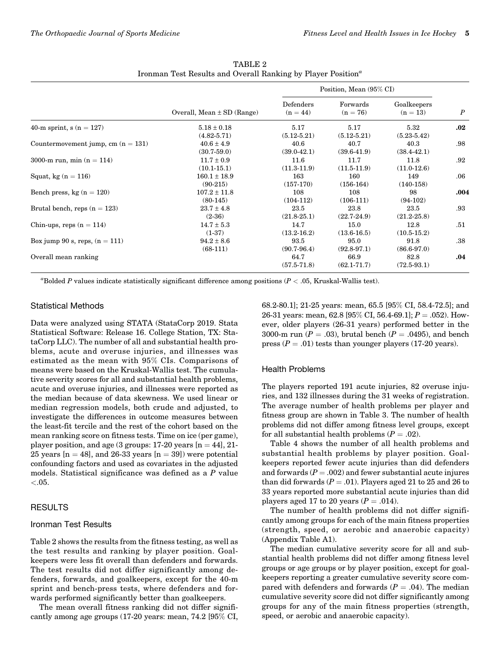|                                      |                                    | Position, Mean (95% CI) |                         |                           |                  |
|--------------------------------------|------------------------------------|-------------------------|-------------------------|---------------------------|------------------|
|                                      | Overall, Mean $\pm$ SD (Range)     | Defenders<br>$(n = 44)$ | Forwards<br>$(n = 76)$  | Goalkeepers<br>$(n = 13)$ | $\boldsymbol{P}$ |
| 40-m sprint, $s(n = 127)$            | $5.18 \pm 0.18$<br>$(4.82 - 5.71)$ | 5.17<br>$(5.12 - 5.21)$ | 5.17<br>$(5.12 - 5.21)$ | 5.32<br>$(5.23 - 5.42)$   | $.02\,$          |
| Countermovement jump, cm $(n = 131)$ | $40.6 \pm 4.9$<br>$(30.7 - 59.0)$  | 40.6<br>$(39.0 - 42.1)$ | 40.7<br>$(39.6 - 41.9)$ | 40.3<br>$(38.4 - 42.1)$   | .98              |
| 3000-m run, min $(n = 114)$          | $11.7 \pm 0.9$<br>$(10.1 - 15.1)$  | 11.6<br>$(11.3-11.9)$   | 11.7<br>$(11.5-11.9)$   | 11.8<br>$(11.0-12.6)$     | .92              |
| Squat, kg $(n = 116)$                | $160.1 \pm 18.9$<br>$(90-215)$     | 163<br>$(157-170)$      | 160<br>$(156-164)$      | 149<br>$(140-158)$        | .06              |
| Bench press, kg $(n = 120)$          | $107.2 \pm 11.8$<br>$(80-145)$     | 108<br>$(104-112)$      | 108<br>$(106-111)$      | 98<br>$(94-102)$          | .004             |
| Brutal bench, reps $(n = 123)$       | $23.7 \pm 4.8$<br>$(2-36)$         | 23.5<br>$(21.8 - 25.1)$ | 23.8<br>$(22.7 - 24.9)$ | 23.5<br>$(21.2 - 25.8)$   | $.93\,$          |
| Chin-ups, reps $(n = 114)$           | $14.7 \pm 5.3$<br>$(1-37)$         | 14.7<br>$(13.2 - 16.2)$ | 15.0<br>$(13.6-16.5)$   | 12.8<br>$(10.5 - 15.2)$   | .51              |
| Box jump 90 s, reps, $(n = 111)$     | $94.2 \pm 8.6$<br>$(68-111)$       | 93.5<br>$(90.7 - 96.4)$ | 95.0<br>$(92.8 - 97.1)$ | 91.8<br>$(86.6 - 97.0)$   | $.38\,$          |
| Overall mean ranking                 |                                    | 64.7<br>$(57.5 - 71.8)$ | 66.9<br>$(62.1 - 71.7)$ | 82.8<br>$(72.5 - 93.1)$   | .04              |

TABLE 2 Ironman Test Results and Overall Ranking by Player Position<sup>a</sup>

"Bolded P values indicate statistically significant difference among positions ( $P < .05$ , Kruskal-Wallis test).

#### Statistical Methods

Data were analyzed using STATA (StataCorp 2019. Stata Statistical Software: Release 16. College Station, TX: StataCorp LLC). The number of all and substantial health problems, acute and overuse injuries, and illnesses was estimated as the mean with 95% CIs. Comparisons of means were based on the Kruskal-Wallis test. The cumulative severity scores for all and substantial health problems, acute and overuse injuries, and illnesses were reported as the median because of data skewness. We used linear or median regression models, both crude and adjusted, to investigate the differences in outcome measures between the least-fit tercile and the rest of the cohort based on the mean ranking score on fitness tests. Time on ice (per game), player position, and age  $(3 \text{ groups: } 17-20 \text{ years} \space \text{[}n = 44 \text{]}, 21-$ 25 years  $[n = 48]$ , and 26-33 years  $[n = 39]$ ) were potential confounding factors and used as covariates in the adjusted models. Statistical significance was defined as a P value  $< 0.05$ .

#### RESULTS

#### Ironman Test Results

Table 2 shows the results from the fitness testing, as well as the test results and ranking by player position. Goalkeepers were less fit overall than defenders and forwards. The test results did not differ significantly among defenders, forwards, and goalkeepers, except for the 40-m sprint and bench-press tests, where defenders and forwards performed significantly better than goalkeepers.

The mean overall fitness ranking did not differ significantly among age groups (17-20 years: mean, 74.2 [95% CI, 68.2-80.1]; 21-25 years: mean, 65.5 [95% CI, 58.4-72.5]; and 26-31 years: mean, 62.8 [95% CI, 56.4-69.1];  $P = .052$ ). However, older players (26-31 years) performed better in the 3000-m run ( $P = .03$ ), brutal bench ( $P = .0495$ ), and bench press ( $P = .01$ ) tests than younger players (17-20 years).

#### Health Problems

The players reported 191 acute injuries, 82 overuse injuries, and 132 illnesses during the 31 weeks of registration. The average number of health problems per player and fitness group are shown in Table 3. The number of health problems did not differ among fitness level groups, except for all substantial health problems  $(P = .02)$ .

Table 4 shows the number of all health problems and substantial health problems by player position. Goalkeepers reported fewer acute injuries than did defenders and forwards  $(P = .002)$  and fewer substantial acute injures than did forwards  $(P = .01)$ . Players aged 21 to 25 and 26 to 33 years reported more substantial acute injuries than did players aged 17 to 20 years  $(P = .014)$ .

The number of health problems did not differ significantly among groups for each of the main fitness properties (strength, speed, or aerobic and anaerobic capacity) (Appendix Table A1).

The median cumulative severity score for all and substantial health problems did not differ among fitness level groups or age groups or by player position, except for goalkeepers reporting a greater cumulative severity score compared with defenders and forwards ( $P = .04$ ). The median cumulative severity score did not differ significantly among groups for any of the main fitness properties (strength, speed, or aerobic and anaerobic capacity).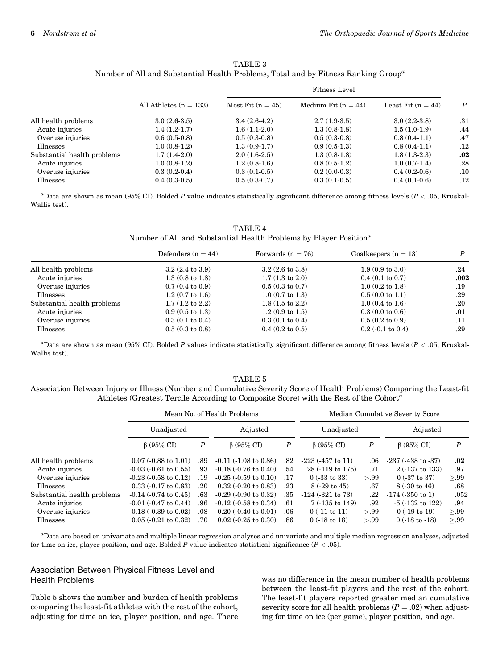|                             |                          | Fitness Level       |                       |                      |                  |
|-----------------------------|--------------------------|---------------------|-----------------------|----------------------|------------------|
|                             | All Athletes $(n = 133)$ | Most Fit $(n = 45)$ | Medium Fit $(n = 44)$ | Least Fit $(n = 44)$ | $\boldsymbol{P}$ |
| All health problems         | $3.0(2.6-3.5)$           | $3.4(2.6-4.2)$      | $2.7(1.9-3.5)$        | $3.0(2.2-3.8)$       | .31              |
| Acute injuries              | $1.4(1.2-1.7)$           | $1.6(1.1-2.0)$      | $1.3(0.8-1.8)$        | $1.5(1.0-1.9)$       | .44              |
| Overuse injuries            | $0.6(0.5-0.8)$           | $0.5(0.3-0.8)$      | $0.5(0.3-0.8)$        | $0.8(0.4-1.1)$       | .47              |
| <b>Illnesses</b>            | $1.0(0.8-1.2)$           | $1.3(0.9-1.7)$      | $0.9(0.5-1.3)$        | $0.8(0.4-1.1)$       | .12              |
| Substantial health problems | $1.7(1.4-2.0)$           | $2.0(1.6-2.5)$      | $1.3(0.8-1.8)$        | $1.8(1.3-2.3)$       | .02              |
| Acute injuries              | $1.0(0.8-1.2)$           | $1.2(0.8-1.6)$      | $0.8(0.5-1.2)$        | $1.0(0.7-1.4)$       | .28              |
| Overuse injuries            | $0.3(0.2-0.4)$           | $0.3(0.1-0.5)$      | $0.2(0.0-0.3)$        | $0.4(0.2-0.6)$       | .10              |
| Illnesses                   | $0.4(0.3-0.5)$           | $0.5(0.3-0.7)$      | $0.3(0.1-0.5)$        | $0.4(0.1-0.6)$       | $.12\,$          |
|                             |                          |                     |                       |                      |                  |

TABLE 3 Number of All and Substantial Health Problems, Total and by Fitness Ranking Group<sup>a</sup>

"Data are shown as mean (95% CI). Bolded P value indicates statistically significant difference among fitness levels ( $P < .05$ , Kruskal-Wallis test).

TABLE 4 Number of All and Substantial Health Problems by Player Position<sup> $a$ </sup>

|                             | Defenders $(n = 44)$       | Forwards $(n = 76)$        | Goalkeepers $(n = 13)$     | D    |
|-----------------------------|----------------------------|----------------------------|----------------------------|------|
| All health problems         | $3.2(2.4 \text{ to } 3.9)$ | $3.2(2.6 \text{ to } 3.8)$ | $1.9(0.9 \text{ to } 3.0)$ | .24  |
| Acute injuries              | $1.3(0.8 \text{ to } 1.8)$ | $1.7(1.3 \text{ to } 2.0)$ | $0.4(0.1 \text{ to } 0.7)$ | .002 |
| Overuse injuries            | $0.7(0.4 \text{ to } 0.9)$ | $0.5(0.3 \text{ to } 0.7)$ | $1.0(0.2 \text{ to } 1.8)$ | .19  |
| Illnesses                   | $1.2(0.7 \text{ to } 1.6)$ | $1.0(0.7 \text{ to } 1.3)$ | $0.5(0.0 \text{ to } 1.1)$ | .29  |
| Substantial health problems | $1.7(1.2 \text{ to } 2.2)$ | $1.8(1.5 \text{ to } 2.2)$ | $1.0(0.4 \text{ to } 1.6)$ | .20  |
| Acute injuries              | $0.9(0.5 \text{ to } 1.3)$ | $1.2(0.9 \text{ to } 1.5)$ | $0.3(0.0 \text{ to } 0.6)$ | .01  |
| Overuse injuries            | $0.3(0.1 \text{ to } 0.4)$ | $0.3(0.1 \text{ to } 0.4)$ | $0.5(0.2 \text{ to } 0.9)$ | .11  |
| Illnesses                   | $0.5(0.3 \text{ to } 0.8)$ | $0.4(0.2 \text{ to } 0.5)$ | $0.2$ (-0.1 to 0.4)        | .29  |

"Data are shown as mean (95% CI). Bolded P values indicate statistically significant difference among fitness levels ( $P < .05$ , Kruskal-Wallis test).

#### TABLE 5

Association Between Injury or Illness (Number and Cumulative Severity Score of Health Problems) Comparing the Least-fit Athletes (Greatest Tercile According to Composite Score) with the Rest of the Cohort<sup>a</sup>

|                             | Mean No. of Health Problems  |                  |                                 |                  | Median Cumulative Severity Score |                  |                           |         |
|-----------------------------|------------------------------|------------------|---------------------------------|------------------|----------------------------------|------------------|---------------------------|---------|
|                             | Unadjusted                   |                  | Adjusted                        |                  | Unadjusted                       |                  | Adjusted                  |         |
|                             | $\beta$ (95% CI)             | $\boldsymbol{P}$ | $\beta$ (95% CI)                | $\boldsymbol{P}$ | $\beta$ (95% CI)                 | $\boldsymbol{P}$ | $\beta$ (95% CI)          | P       |
| All health problems         | $0.07$ (-0.88 to 1.01)       | .89              | $-0.11(-1.08 \text{ to } 0.86)$ | .82              | $-223$ $(-457$ to 11)            | .06              | $-237 (-438$ to $-37)$    | $.02\,$ |
| Acute injuries              | $-0.03$ $(-0.61$ to $0.55)$  | .93              | $-0.18$ $(-0.76$ to $0.40)$     | .54              | 28 (-119 to 175)                 | .71              | $2(.137 \text{ to } 133)$ | .97     |
| Overuse injuries            | $-0.23$ $(-0.58$ to $0.12)$  | .19              | $-0.25$ $(-0.59$ to $0.10)$     | .17              | $0(.33 \text{ to } 33)$          | >.99             | $0(.37 \text{ to } 37)$   | >.99    |
| <b>Illnesses</b>            | $0.33$ (-0.17 to 0.83)       | .20              | $0.32$ (-0.20 to 0.83)          | .23              | $8(.29 \text{ to } 45)$          | .67              | $8(.30 \text{ to } 46)$   | .68     |
| Substantial health problems | $-0.14$ $(-0.74$ to $0.45)$  | .63              | $-0.29$ $(-0.90$ to $0.32)$     | .35              | $-124$ $(-321$ to $73)$          | .22              | $-174$ $(-350$ to 1)      | .052    |
| Acute injuries              | $-0.01$ $(-0.47$ to $0.44)$  | .96              | $-0.12$ $(-0.58$ to $0.34)$     | .61              | $7(.135 \text{ to } 149)$        | .92              | $-5$ $(-132$ to $122)$    | .94     |
| Overuse injuries            | $-0.18$ $(-0.39$ to $0.02)$  | .08              | $-0.20$ $(-0.40$ to $0.01)$     | .06              | $0$ (-11 to 11)                  | > 99             | $0(.19 \text{ to } 19)$   | >.99    |
| <b>Illnesses</b>            | $0.05$ ( $-0.21$ to $0.32$ ) | .70              | $0.02$ (-0.25 to 0.30)          | .86              | $0(.18 \text{ to } 18)$          | > 99             | $0(.18 \text{ to } -18)$  | >.99    |

a Data are based on univariate and multiple linear regression analyses and univariate and multiple median regression analyses, adjusted for time on ice, player position, and age. Bolded P value indicates statistical significance  $(P < .05)$ .

# Association Between Physical Fitness Level and Health Problems

Table 5 shows the number and burden of health problems comparing the least-fit athletes with the rest of the cohort, adjusting for time on ice, player position, and age. There was no difference in the mean number of health problems between the least-fit players and the rest of the cohort. The least-fit players reported greater median cumulative severity score for all health problems  $(P = .02)$  when adjusting for time on ice (per game), player position, and age.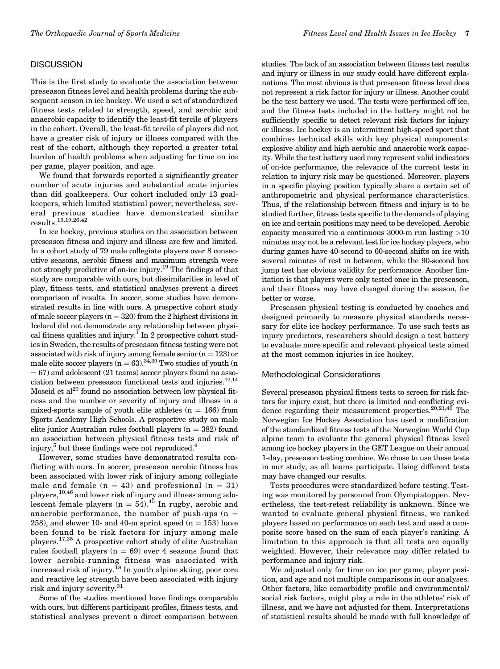#### **DISCUSSION**

This is the first study to evaluate the association between preseason fitness level and health problems during the subsequent season in ice hockey. We used a set of standardized fitness tests related to strength, speed, and aerobic and anaerobic capacity to identify the least-fit tercile of players in the cohort. Overall, the least-fit tercile of players did not have a greater risk of injury or illness compared with the rest of the cohort, although they reported a greater total burden of health problems when adjusting for time on ice per game, player position, and age.

We found that forwards reported a significantly greater number of acute injuries and substantial acute injuries than did goalkeepers. Our cohort included only 13 goalkeepers, which limited statistical power; nevertheless, several previous studies have demonstrated similar results.13,19,26,42

In ice hockey, previous studies on the association between preseason fitness and injury and illness are few and limited. In a cohort study of 79 male collegiate players over 8 consecutive seasons, aerobic fitness and maximum strength were not strongly predictive of on-ice injury.19 The findings of that study are comparable with ours, but dissimilarities in level of play, fitness tests, and statistical analyses prevent a direct comparison of results. In soccer, some studies have demonstrated results in line with ours. A prospective cohort study of male soccer players  $(n = 320)$  from the 2 highest divisions in Iceland did not demonstrate any relationship between physical fitness qualities and injury.<sup>1</sup> In 2 prospective cohort studies in Sweden, the results of preseason fitness testing were not associated with risk of injury among female senior  $(n = 123)$  or male elite soccer players ( $n = 63$ ).<sup>34,39</sup> Two studies of youth (n  $= 67$ ) and adolescent (21 teams) soccer players found no association between preseason functional tests and injuries. $^{12,14}$ Moseid et al<sup>29</sup> found no association between low physical fitness and the number or severity of injury and illness in a mixed-sports sample of youth elite athletes  $(n = 166)$  from Sports Academy High Schools. A prospective study on male elite junior Australian rules football players ( $n = 382$ ) found an association between physical fitness tests and risk of injury,  $5$  but these findings were not reproduced. $4$ 

However, some studies have demonstrated results conflicting with ours. In soccer, preseason aerobic fitness has been associated with lower risk of injury among collegiate male and female  $(n = 43)$  and professional  $(n = 31)$ players,10,46 and lower risk of injury and illness among adolescent female players  $(n = 54)^{45}$  In rugby, aerobic and anaerobic performance, the number of push-ups  $(n =$ 258), and slower 10- and 40-m sprint speed  $(n = 153)$  have been found to be risk factors for injury among male players.17,35 A prospective cohort study of elite Australian rules football players ( $n = 69$ ) over 4 seasons found that lower aerobic-running fitness was associated with increased risk of injury.<sup>18</sup> In youth alpine skiing, poor core and reactive leg strength have been associated with injury risk and injury severity.<sup>31</sup>

Some of the studies mentioned have findings comparable with ours, but different participant profiles, fitness tests, and statistical analyses prevent a direct comparison between

studies. The lack of an association between fitness test results and injury or illness in our study could have different explanations. The most obvious is that preseason fitness level does not represent a risk factor for injury or illness. Another could be the test battery we used. The tests were performed off ice, and the fitness tests included in the battery might not be sufficiently specific to detect relevant risk factors for injury or illness. Ice hockey is an intermittent high-speed sport that combines technical skills with key physical components: explosive ability and high aerobic and anaerobic work capacity. While the test battery used may represent valid indicators of on-ice performance, the relevance of the current tests in relation to injury risk may be questioned. Moreover, players in a specific playing position typically share a certain set of anthropometric and physical performance characteristics. Thus, if the relationship between fitness and injury is to be studied further, fitness tests specific to the demands of playing on ice and certain positions may need to be developed. Aerobic capacity measured via a continuous 3000-m run lasting  $>10$ minutes may not be a relevant test for ice hockey players, who during games have 40-second to 60-second shifts on ice with several minutes of rest in between, while the 90-second box jump test has obvious validity for performance. Another limitation is that players were only tested once in the preseason, and their fitness may have changed during the season, for better or worse.

Preseason physical testing is conducted by coaches and designed primarily to measure physical standards necessary for elite ice hockey performance. To use such tests as injury predictors, researchers should design a test battery to evaluate more specific and relevant physical tests aimed at the most common injuries in ice hockey.

#### Methodological Considerations

Several preseason physical fitness tests to screen for risk factors for injury exist, but there is limited and conflicting evidence regarding their measurement properties. $20,21,40$  The Norwegian Ice Hockey Association has used a modification of the standardized fitness tests of the Norwegian World Cup alpine team to evaluate the general physical fitness level among ice hockey players in the GET League on their annual 1-day, preseason testing combine. We chose to use these tests in our study, as all teams participate. Using different tests may have changed our results.

Tests procedures were standardized before testing. Testing was monitored by personnel from Olympiatoppen. Nevertheless, the test-retest reliability is unknown. Since we wanted to evaluate general physical fitness, we ranked players based on performance on each test and used a composite score based on the sum of each player's ranking. A limitation to this approach is that all tests are equally weighted. However, their relevance may differ related to performance and injury risk.

We adjusted only for time on ice per game, player position, and age and not multiple comparisons in our analyses. Other factors, like comorbidity profile and environmental/ social risk factors, might play a role in the athletes' risk of illness, and we have not adjusted for them. Interpretations of statistical results should be made with full knowledge of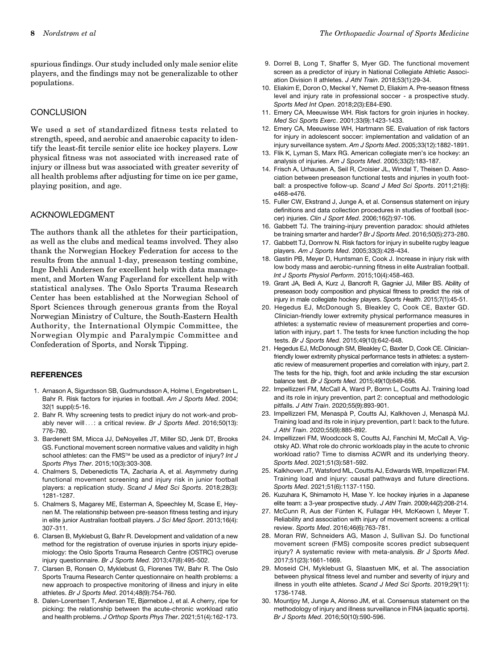spurious findings. Our study included only male senior elite players, and the findings may not be generalizable to other populations.

# **CONCLUSION**

We used a set of standardized fitness tests related to strength, speed, and aerobic and anaerobic capacity to identify the least-fit tercile senior elite ice hockey players. Low physical fitness was not associated with increased rate of injury or illness but was associated with greater severity of all health problems after adjusting for time on ice per game, playing position, and age.

# ACKNOWLEDGMENT

The authors thank all the athletes for their participation, as well as the clubs and medical teams involved. They also thank the Norwegian Hockey Federation for access to the results from the annual 1-day, preseason testing combine, Inge Dehli Andersen for excellent help with data management, and Morten Wang Fagerland for excellent help with statistical analyses. The Oslo Sports Trauma Research Center has been established at the Norwegian School of Sport Sciences through generous grants from the Royal Norwegian Ministry of Culture, the South-Eastern Health Authority, the International Olympic Committee, the Norwegian Olympic and Paralympic Committee and Confederation of Sports, and Norsk Tipping.

#### **REFERENCES**

- 1. Arnason A, Sigurdsson SB, Gudmundsson A, Holme I, Engebretsen L, Bahr R. Risk factors for injuries in football. Am J Sports Med. 2004; 32(1 suppl):5-16.
- 2. Bahr R. Why screening tests to predict injury do not work-and probably never will ...: a critical review. Br J Sports Med. 2016;50(13): 776-780.
- 3. Bardenett SM, Micca JJ, DeNoyelles JT, Miller SD, Jenk DT, Brooks GS. Functional movement screen normative values and validity in high school athletes: can the FMS™ be used as a predictor of injury? Int J Sports Phys Ther. 2015;10(3):303-308.
- 4. Chalmers S, Debenedictis TA, Zacharia A, et al. Asymmetry during functional movement screening and injury risk in junior football players: a replication study. Scand J Med Sci Sports. 2018;28(3): 1281-1287.
- 5. Chalmers S, Magarey ME, Esterman A, Speechley M, Scase E, Heynen M. The relationship between pre-season fitness testing and injury in elite junior Australian football players. J Sci Med Sport. 2013;16(4): 307-311.
- 6. Clarsen B, Myklebust G, Bahr R. Development and validation of a new method for the registration of overuse injuries in sports injury epidemiology: the Oslo Sports Trauma Research Centre (OSTRC) overuse injury questionnaire. Br J Sports Med. 2013;47(8):495-502.
- 7. Clarsen B, Ronsen O, Myklebust G, Florenes TW, Bahr R. The Oslo Sports Trauma Research Center questionnaire on health problems: a new approach to prospective monitoring of illness and injury in elite athletes. Br J Sports Med. 2014;48(9):754-760.
- 8. Dalen-Lorentsen T, Andersen TE, Bjørneboe J, et al. A cherry, ripe for picking: the relationship between the acute-chronic workload ratio and health problems. J Orthop Sports Phys Ther. 2021;51(4):162-173.
- 9. Dorrel B, Long T, Shaffer S, Myer GD. The functional movement screen as a predictor of injury in National Collegiate Athletic Association Division II athletes. J Athl Train. 2018;53(1):29-34.
- 10. Eliakim E, Doron O, Meckel Y, Nemet D, Eliakim A. Pre-season fitness level and injury rate in professional soccer - a prospective study. Sports Med Int Open. 2018;2(3):E84-E90.
- 11. Emery CA, Meeuwisse WH. Risk factors for groin injuries in hockey. Med Sci Sports Exerc. 2001;33(9):1423-1433.
- 12. Emery CA, Meeuwisse WH, Hartmann SE. Evaluation of risk factors for injury in adolescent soccer: implementation and validation of an injury surveillance system. Am J Sports Med. 2005;33(12):1882-1891.
- 13. Flik K, Lyman S, Marx RG. American collegiate men's ice hockey: an analysis of injuries. Am J Sports Med. 2005;33(2):183-187.
- 14. Frisch A, Urhausen A, Seil R, Croisier JL, Windal T, Theisen D. Association between preseason functional tests and injuries in youth football: a prospective follow-up. Scand J Med Sci Sports. 2011;21(6): e468-e476.
- 15. Fuller CW, Ekstrand J, Junge A, et al. Consensus statement on injury definitions and data collection procedures in studies of football (soccer) injuries. Clin J Sport Med. 2006;16(2):97-106.
- 16. Gabbett TJ. The training-injury prevention paradox: should athletes be training smarter and harder? Br J Sports Med. 2016;50(5):273-280.
- 17. Gabbett TJ, Domrow N. Risk factors for injury in subelite rugby league players. Am J Sports Med. 2005;33(3):428-434.
- 18. Gastin PB, Meyer D, Huntsman E, Cook J. Increase in injury risk with low body mass and aerobic-running fitness in elite Australian football. Int J Sports Physiol Perform. 2015;10(4):458-463.
- 19. Grant JA, Bedi A, Kurz J, Bancroft R, Gagnier JJ, Miller BS. Ability of preseason body composition and physical fitness to predict the risk of injury in male collegiate hockey players. Sports Health. 2015;7(1):45-51.
- 20. Hegedus EJ, McDonough S, Bleakley C, Cook CE, Baxter GD. Clinician-friendly lower extremity physical performance measures in athletes: a systematic review of measurement properties and correlation with injury, part 1. The tests for knee function including the hop tests. Br J Sports Med. 2015;49(10):642-648.
- 21. Hegedus EJ, McDonough SM, Bleakley C, Baxter D, Cook CE. Clinicianfriendly lower extremity physical performance tests in athletes: a systematic review of measurement properties and correlation with injury, part 2. The tests for the hip, thigh, foot and ankle including the star excursion balance test. Br J Sports Med. 2015;49(10):649-656.
- 22. Impellizzeri FM, McCall A, Ward P, Bornn L, Coutts AJ. Training load and its role in injury prevention, part 2: conceptual and methodologic pitfalls. J Athl Train. 2020;55(9):893-901.
- 23. Impellizzeri FM, Menaspà P, Coutts AJ, Kalkhoven J, Menaspà MJ. Training load and its role in injury prevention, part I: back to the future. J Athl Train. 2020;55(9):885-892.
- 24. Impellizzeri FM, Woodcock S, Coutts AJ, Fanchini M, McCall A, Vigotsky AD. What role do chronic workloads play in the acute to chronic workload ratio? Time to dismiss ACWR and its underlying theory. Sports Med. 2021;51(3):581-592.
- 25. Kalkhoven JT, Watsford ML, Coutts AJ, Edwards WB, Impellizzeri FM. Training load and injury: causal pathways and future directions. Sports Med. 2021;51(6):1137-1150.
- 26. Kuzuhara K, Shimamoto H, Mase Y. Ice hockey injuries in a Japanese elite team: a 3-year prospective study. J Athl Train. 2009;44(2):208-214.
- 27. McCunn R, Aus der Fünten K, Fullagar HH, McKeown I, Meyer T. Reliability and association with injury of movement screens: a critical review. Sports Med. 2016;46(6):763-781.
- 28. Moran RW, Schneiders AG, Mason J, Sullivan SJ. Do functional movement screen (FMS) composite scores predict subsequent injury? A systematic review with meta-analysis. Br J Sports Med. 2017;51(23):1661-1669.
- 29. Moseid CH, Myklebust G, Slaastuen MK, et al. The association between physical fitness level and number and severity of injury and illness in youth elite athletes. Scand J Med Sci Sports. 2019;29(11): 1736-1748.
- 30. Mountjoy M, Junge A, Alonso JM, et al. Consensus statement on the methodology of injury and illness surveillance in FINA (aquatic sports). Br J Sports Med. 2016;50(10):590-596.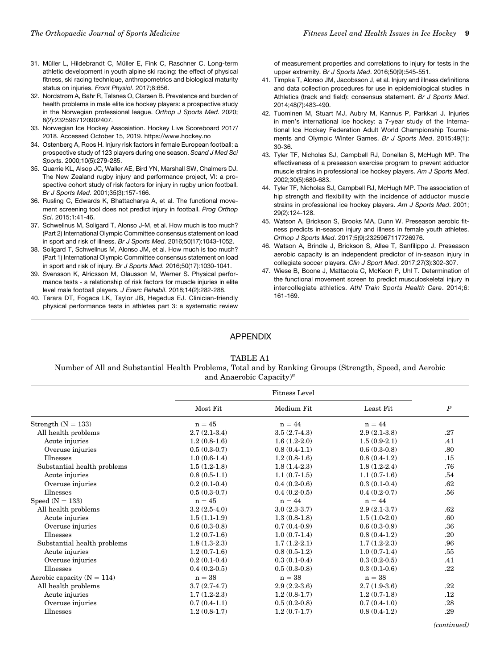- 31. Müller L, Hildebrandt C, Müller E, Fink C, Raschner C. Long-term athletic development in youth alpine ski racing: the effect of physical fitness, ski racing technique, anthropometrics and biological maturity status on injuries. Front Physiol. 2017;8:656.
- 32. Nordstrøm A, Bahr R, Talsnes O, Clarsen B. Prevalence and burden of health problems in male elite ice hockey players: a prospective study in the Norwegian professional league. Orthop J Sports Med. 2020; 8(2):2325967120902407.
- 33. Norwegian Ice Hockey Assosiation. Hockey Live Scoreboard 2017/ 2018. Accessed October 15, 2019. https://www.hockey.no
- 34. Ostenberg A, Roos H. Injury risk factors in female European football: a prospective study of 123 players during one season. Scand J Med Sci Sports. 2000;10(5):279-285.
- 35. Quarrie KL, Alsop JC, Waller AE, Bird YN, Marshall SW, Chalmers DJ. The New Zealand rugby injury and performance project, VI: a prospective cohort study of risk factors for injury in rugby union football. Br J Sports Med. 2001;35(3):157-166.
- 36. Rusling C, Edwards K, Bhattacharya A, et al. The functional movement screening tool does not predict injury in football. Prog Orthop Sci. 2015;1:41-46.
- 37. Schwellnus M, Soligard T, Alonso J-M, et al. How much is too much? (Part 2) International Olympic Committee consensus statement on load in sport and risk of illness. Br J Sports Med. 2016;50(17):1043-1052.
- 38. Soligard T, Schwellnus M, Alonso JM, et al. How much is too much? (Part 1) International Olympic Committee consensus statement on load in sport and risk of injury. Br J Sports Med. 2016;50(17):1030-1041.
- 39. Svensson K, Alricsson M, Olausson M, Werner S. Physical performance tests - a relationship of risk factors for muscle injuries in elite level male football players. J Exerc Rehabil. 2018;14(2):282-288.
- 40. Tarara DT, Fogaca LK, Taylor JB, Hegedus EJ. Clinician-friendly physical performance tests in athletes part 3: a systematic review

of measurement properties and correlations to injury for tests in the upper extremity. Br J Sports Med. 2016;50(9):545-551.

- 41. Timpka T, Alonso JM, Jacobsson J, et al. Injury and illness definitions and data collection procedures for use in epidemiological studies in Athletics (track and field): consensus statement. Br J Sports Med. 2014;48(7):483-490.
- 42. Tuominen M, Stuart MJ, Aubry M, Kannus P, Parkkari J. Injuries in men's international ice hockey: a 7-year study of the International Ice Hockey Federation Adult World Championship Tournaments and Olympic Winter Games. Br J Sports Med. 2015;49(1): 30-36.
- 43. Tyler TF, Nicholas SJ, Campbell RJ, Donellan S, McHugh MP. The effectiveness of a preseason exercise program to prevent adductor muscle strains in professional ice hockey players. Am J Sports Med. 2002;30(5):680-683.
- 44. Tyler TF, Nicholas SJ, Campbell RJ, McHugh MP. The association of hip strength and flexibility with the incidence of adductor muscle strains in professional ice hockey players. Am J Sports Med. 2001; 29(2):124-128.
- 45. Watson A, Brickson S, Brooks MA, Dunn W. Preseason aerobic fitness predicts in-season injury and illness in female youth athletes. Orthop J Sports Med. 2017;5(9):2325967117726976.
- 46. Watson A, Brindle J, Brickson S, Allee T, Sanfilippo J. Preseason aerobic capacity is an independent predictor of in-season injury in collegiate soccer players. Clin J Sport Med. 2017;27(3):302-307.
- 47. Wiese B, Boone J, Mattacola C, McKeon P, Uhl T. Determination of the functional movement screen to predict musculoskeletal injury in intercollegiate athletics. Athl Train Sports Health Care. 2014;6: 161-169.

# APPENDIX

#### TABLE A1

#### Number of All and Substantial Health Problems, Total and by Ranking Groups (Strength, Speed, and Aerobic and Anaerobic Capacity)<sup> $a$ </sup>

|                                | <b>Fitness Level</b> |                |                |                  |
|--------------------------------|----------------------|----------------|----------------|------------------|
|                                | Most Fit             | Medium Fit     | Least Fit      | $\boldsymbol{P}$ |
| Strength $(N = 133)$           | $n = 45$             | $n = 44$       | $n = 44$       |                  |
| All health problems            | $2.7(2.1-3.4)$       | $3.5(2.7-4.3)$ | $2.9(2.1-3.8)$ | .27              |
| Acute injuries                 | $1.2(0.8-1.6)$       | $1.6(1.2-2.0)$ | $1.5(0.9-2.1)$ | .41              |
| Overuse injuries               | $0.5(0.3-0.7)$       | $0.8(0.4-1.1)$ | $0.6(0.3-0.8)$ | .80              |
| Illnesses                      | $1.0(0.6-1.4)$       | $1.2(0.8-1.6)$ | $0.8(0.4-1.2)$ | .15              |
| Substantial health problems    | $1.5(1.2-1.8)$       | $1.8(1.4-2.3)$ | $1.8(1.2-2.4)$ | .76              |
| Acute injuries                 | $0.8(0.5-1.1)$       | $1.1(0.7-1.5)$ | $1.1(0.7-1.6)$ | .54              |
| Overuse injuries               | $0.2(0.1-0.4)$       | $0.4(0.2-0.6)$ | $0.3(0.1-0.4)$ | .62              |
| <b>Illnesses</b>               | $0.5(0.3-0.7)$       | $0.4(0.2-0.5)$ | $0.4(0.2-0.7)$ | .56              |
| Speed $(N = 133)$              | $n = 45$             | $n = 44$       | $n = 44$       |                  |
| All health problems            | $3.2(2.5-4.0)$       | $3.0(2.3-3.7)$ | $2.9(2.1-3.7)$ | .62              |
| Acute injuries                 | $1.5(1.1-1.9)$       | $1.3(0.8-1.8)$ | $1.5(1.0-2.0)$ | .60              |
| Overuse injuries               | $0.6(0.3-0.8)$       | $0.7(0.4-0.9)$ | $0.6(0.3-0.9)$ | .36              |
| <b>Illnesses</b>               | $1.2(0.7-1.6)$       | $1.0(0.7-1.4)$ | $0.8(0.4-1.2)$ | .20              |
| Substantial health problems    | $1.8(1.3-2.3)$       | $1.7(1.2-2.1)$ | $1.7(1.2-2.3)$ | .96              |
| Acute injuries                 | $1.2(0.7-1.6)$       | $0.8(0.5-1.2)$ | $1.0(0.7-1.4)$ | .55              |
| Overuse injuries               | $0.2(0.1-0.4)$       | $0.3(0.1-0.4)$ | $0.3(0.2-0.5)$ | .41              |
| <b>Illnesses</b>               | $0.4(0.2-0.5)$       | $0.5(0.3-0.8)$ | $0.3(0.1-0.6)$ | .22              |
| Aerobic capacity ( $N = 114$ ) | $n = 38$             | $n = 38$       | $n = 38$       |                  |
| All health problems            | $3.7(2.7-4.7)$       | $2.9(2.2-3.6)$ | $2.7(1.9-3.6)$ | .22              |
| Acute injuries                 | $1.7(1.2-2.3)$       | $1.2(0.8-1.7)$ | $1.2(0.7-1.8)$ | $.12\,$          |
| Overuse injuries               | $0.7(0.4-1.1)$       | $0.5(0.2-0.8)$ | $0.7(0.4-1.0)$ | .28              |
| Illnesses                      | $1.2(0.8-1.7)$       | $1.2(0.7-1.7)$ | $0.8(0.4-1.2)$ | .29              |